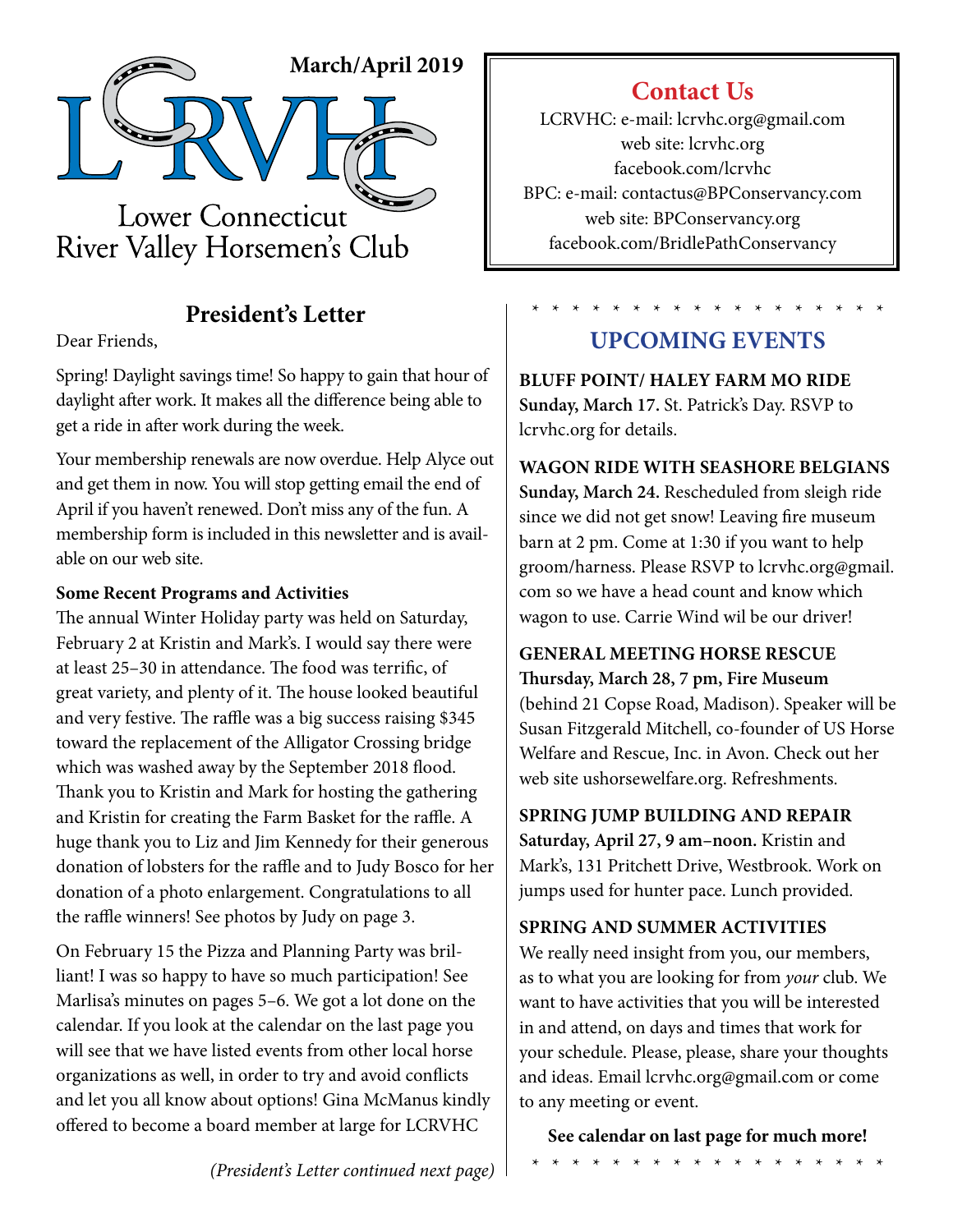

## **President's Letter**

Dear Friends,

Spring! Daylight savings time! So happy to gain that hour of daylight after work. It makes all the difference being able to get a ride in after work during the week.

Your membership renewals are now overdue. Help Alyce out and get them in now. You will stop getting email the end of April if you haven't renewed. Don't miss any of the fun. A membership form is included in this newsletter and is available on our web site.

### **Some Recent Programs and Activities**

The annual Winter Holiday party was held on Saturday, February 2 at Kristin and Mark's. I would say there were at least 25–30 in attendance. The food was terrific, of great variety, and plenty of it. The house looked beautiful and very festive. The raffle was a big success raising \$345 toward the replacement of the Alligator Crossing bridge which was washed away by the September 2018 flood. Thank you to Kristin and Mark for hosting the gathering and Kristin for creating the Farm Basket for the raffle. A huge thank you to Liz and Jim Kennedy for their generous donation of lobsters for the raffle and to Judy Bosco for her donation of a photo enlargement. Congratulations to all the raffle winners! See photos by Judy on page 3.

On February 15 the Pizza and Planning Party was brilliant! I was so happy to have so much participation! See Marlisa's minutes on pages 5–6. We got a lot done on the calendar. If you look at the calendar on the last page you will see that we have listed events from other local horse organizations as well, in order to try and avoid conflicts and let you all know about options! Gina McManus kindly offered to become a board member at large for LCRVHC

## **Contact Us**

LCRVHC: e-mail: lcrvhc.org@gmail.com web site: lcrvhc.org facebook.com/lcrvhc BPC: e-mail: contactus@BPConservancy.com web site: BPConservancy.org facebook.com/BridlePathConservancy

### \* \* \* \* \* \* \* \* \* \* \* \* \* \* \* \* \* \* **UPCOMING EVENTS**

**BLUFF POINT/ HALEY FARM MO RIDE Sunday, March 17.** St. Patrick's Day. RSVP to lcrvhc.org for details.

### **WAGON RIDE WITH SEASHORE BELGIANS**

**Sunday, March 24.** Rescheduled from sleigh ride since we did not get snow! Leaving fire museum barn at 2 pm. Come at 1:30 if you want to help groom/harness. Please RSVP to lcrvhc.org@gmail. com so we have a head count and know which wagon to use. Carrie Wind wil be our driver!

## **GENERAL MEETING HORSE RESCUE**

**Thursday, March 28, 7 pm, Fire Museum**  (behind 21 Copse Road, Madison). Speaker will be Susan Fitzgerald Mitchell, co-founder of US Horse Welfare and Rescue, Inc. in Avon. Check out her web site ushorsewelfare.org. Refreshments.

**SPRING JUMP BUILDING AND REPAIR Saturday, April 27, 9 am–noon.** Kristin and Mark's, 131 Pritchett Drive, Westbrook. Work on jumps used for hunter pace. Lunch provided.

### **SPRING AND SUMMER ACTIVITIES**

We really need insight from you, our members, as to what you are looking for from *your* club. We want to have activities that you will be interested in and attend, on days and times that work for your schedule. Please, please, share your thoughts and ideas. Email lcrvhc.org@gmail.com or come to any meeting or event.

**See calendar on last page for much more!**

\* \* \* \* \* \* \* \* \* \* \* \* \* \* \* \* \* \*

*(President's Letter continued next page)*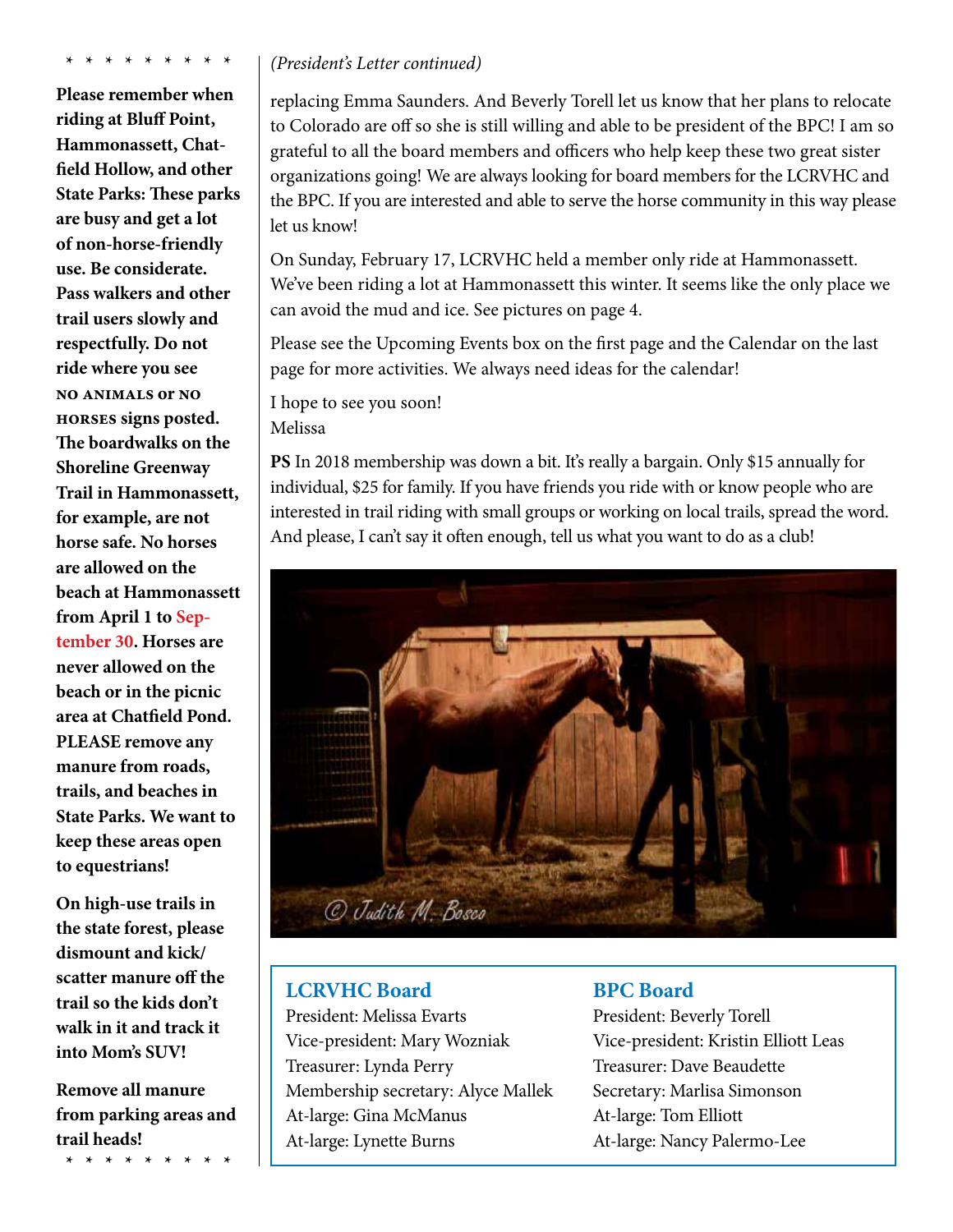**\* \* \* \* \* \* \* \* \***

**Please remember when riding at Bluff Point, Hammonassett, Chatfield Hollow, and other State Parks: These parks are busy and get a lot of non-horse-friendly use. Be considerate. Pass walkers and other trail users slowly and respectfully. Do not ride where you see no animals or no horses signs posted. The boardwalks on the Shoreline Greenway Trail in Hammonassett, for example, are not horse safe. No horses are allowed on the beach at Hammonassett from April 1 to September 30. Horses are never allowed on the beach or in the picnic area at Chatfield Pond. PLEASE remove any manure from roads, trails, and beaches in State Parks. We want to keep these areas open to equestrians!** 

**On high-use trails in the state forest, please dismount and kick/ scatter manure off the trail so the kids don't walk in it and track it into Mom's SUV!**

**Remove all manure from parking areas and trail heads!**

**\* \* \* \* \* \* \* \* \***

#### *(President's Letter continued)*

replacing Emma Saunders. And Beverly Torell let us know that her plans to relocate to Colorado are off so she is still willing and able to be president of the BPC! I am so grateful to all the board members and officers who help keep these two great sister organizations going! We are always looking for board members for the LCRVHC and the BPC. If you are interested and able to serve the horse community in this way please let us know!

On Sunday, February 17, LCRVHC held a member only ride at Hammonassett. We've been riding a lot at Hammonassett this winter. It seems like the only place we can avoid the mud and ice. See pictures on page 4.

Please see the Upcoming Events box on the first page and the Calendar on the last page for more activities. We always need ideas for the calendar!

I hope to see you soon! Melissa

**PS** In 2018 membership was down a bit. It's really a bargain. Only \$15 annually for individual, \$25 for family. If you have friends you ride with or know people who are interested in trail riding with small groups or working on local trails, spread the word. And please, I can't say it often enough, tell us what you want to do as a club!



### **LCRVHC Board**

President: Melissa Evarts Vice-president: Mary Wozniak Treasurer: Lynda Perry Membership secretary: Alyce Mallek At-large: Gina McManus At-large: Lynette Burns

### **BPC Board**

President: Beverly Torell Vice-president: Kristin Elliott Leas Treasurer: Dave Beaudette Secretary: Marlisa Simonson At-large: Tom Elliott At-large: Nancy Palermo-Lee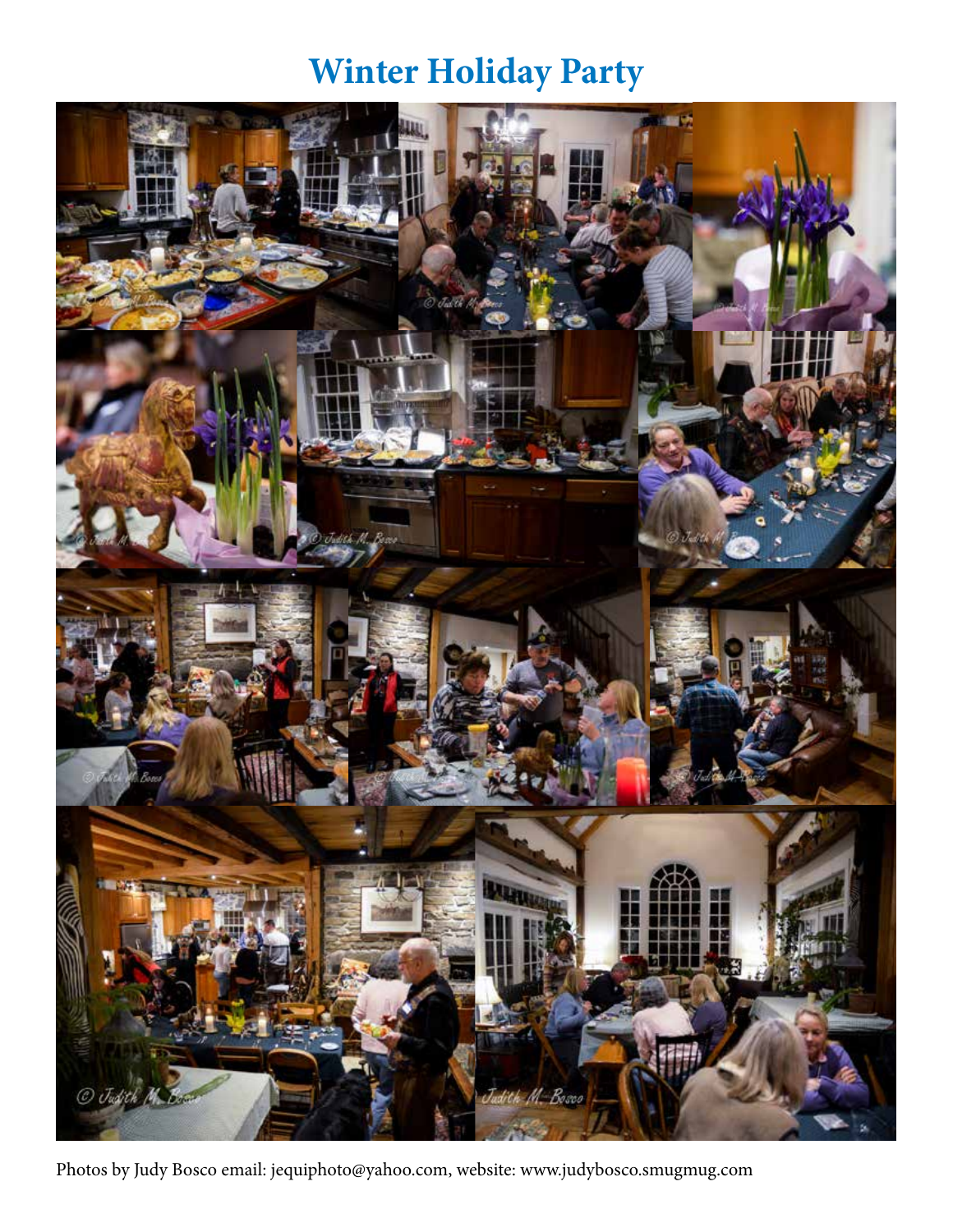# **Winter Holiday Party**



Photos by Judy Bosco email: jequiphoto@yahoo.com, website: www.judybosco.smugmug.com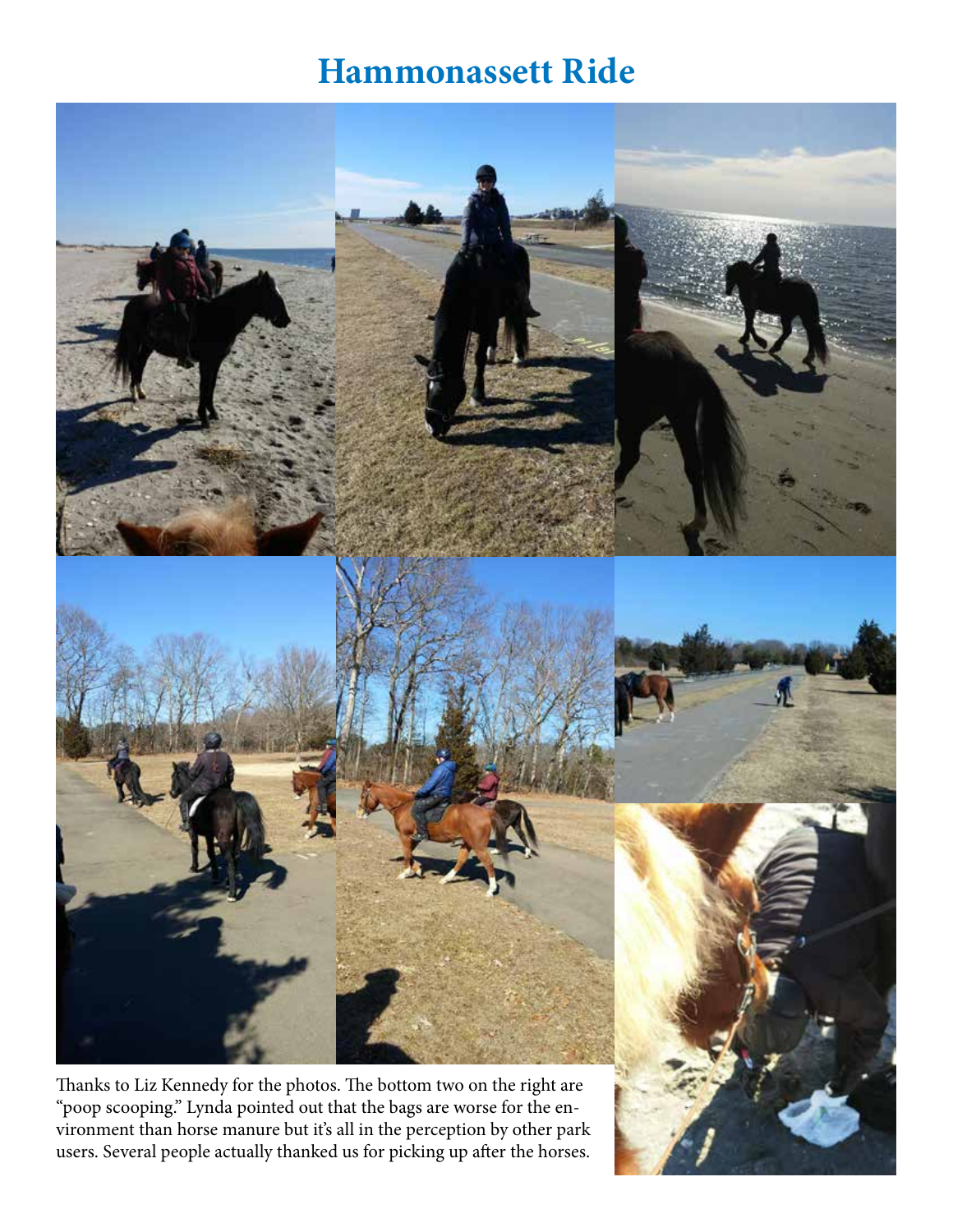# **Hammonassett Ride**

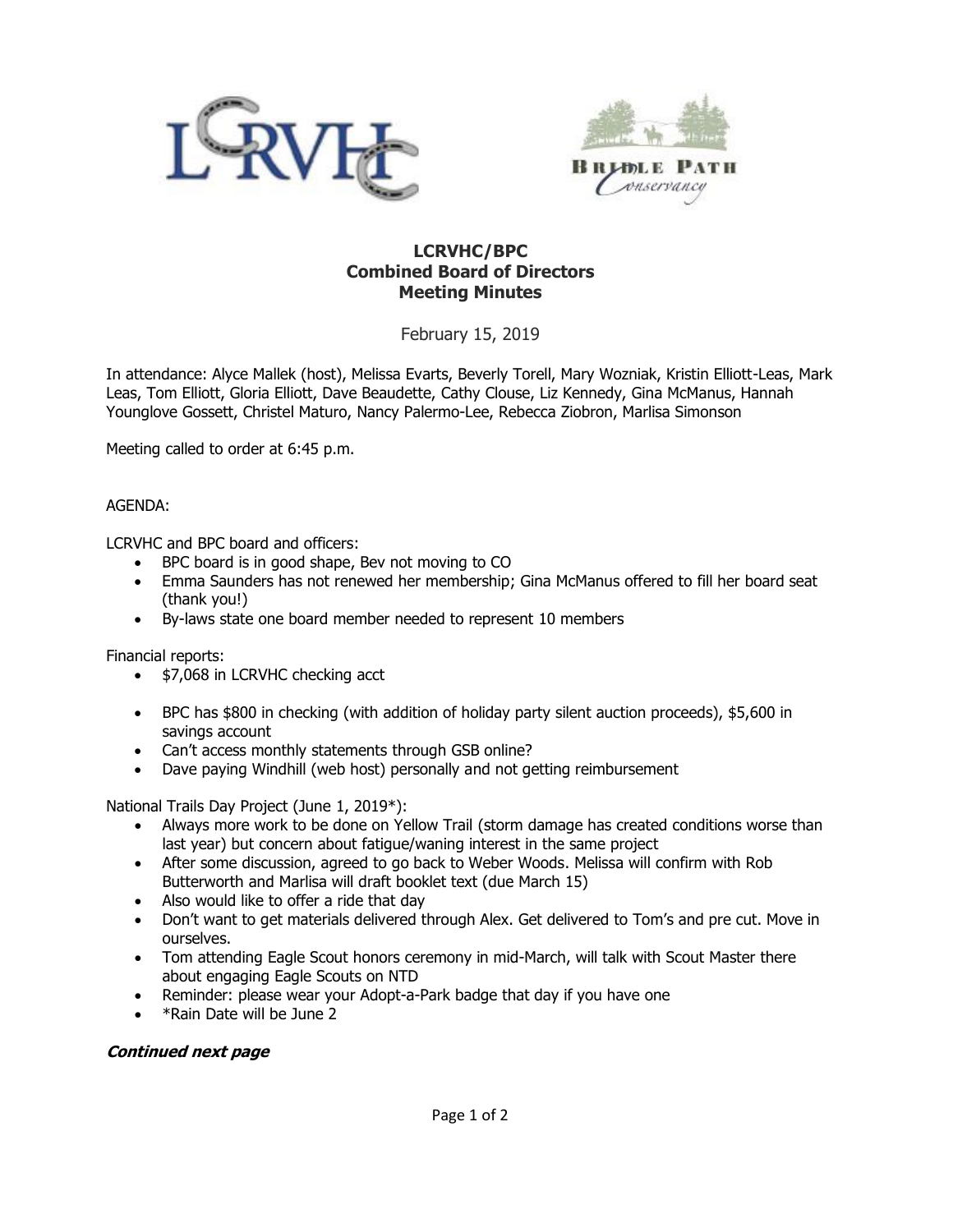



### **LCRVHC/BPC Combined Board of Directors Meeting Minutes**

February 15, 2019

In attendance: Alyce Mallek (host), Melissa Evarts, Beverly Torell, Mary Wozniak, Kristin Elliott-Leas, Mark Leas, Tom Elliott, Gloria Elliott, Dave Beaudette, Cathy Clouse, Liz Kennedy, Gina McManus, Hannah Younglove Gossett, Christel Maturo, Nancy Palermo-Lee, Rebecca Ziobron, Marlisa Simonson

Meeting called to order at 6:45 p.m.

#### AGENDA:

LCRVHC and BPC board and officers:

- BPC board is in good shape, Bev not moving to CO
- Emma Saunders has not renewed her membership; Gina McManus offered to fill her board seat (thank you!)
- By-laws state one board member needed to represent 10 members

Financial reports:

- \$7,068 in LCRVHC checking acct
- BPC has \$800 in checking (with addition of holiday party silent auction proceeds), \$5,600 in savings account
- Can't access monthly statements through GSB online?
- Dave paying Windhill (web host) personally and not getting reimbursement

National Trails Day Project (June 1, 2019\*):

- Always more work to be done on Yellow Trail (storm damage has created conditions worse than last year) but concern about fatigue/waning interest in the same project
- After some discussion, agreed to go back to Weber Woods. Melissa will confirm with Rob Butterworth and Marlisa will draft booklet text (due March 15)
- Also would like to offer a ride that day
- Don't want to get materials delivered through Alex. Get delivered to Tom's and pre cut. Move in ourselves.
- Tom attending Eagle Scout honors ceremony in mid-March, will talk with Scout Master there about engaging Eagle Scouts on NTD
- Reminder: please wear your Adopt-a-Park badge that day if you have one
- \*Rain Date will be June 2

#### **Continued next page**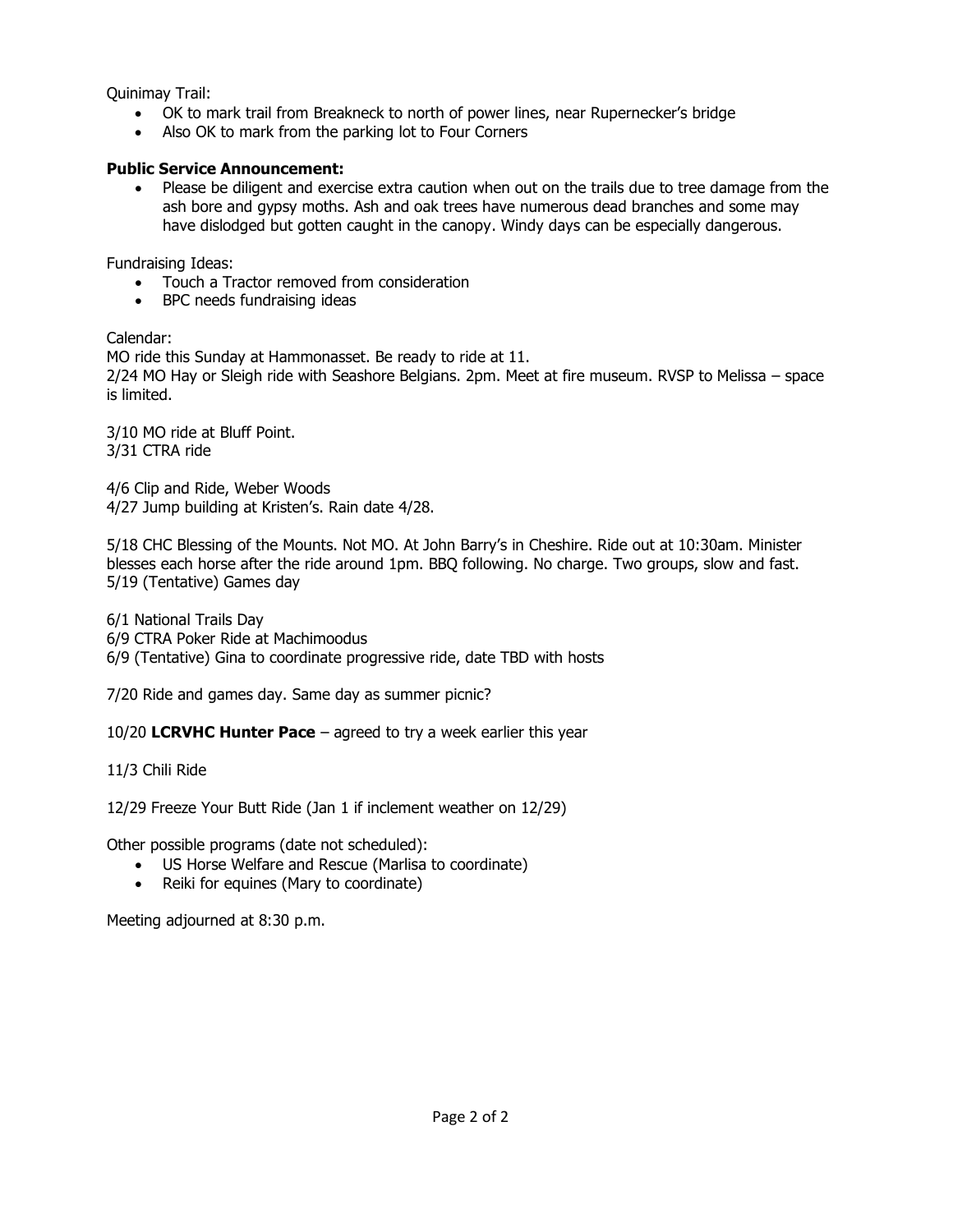Quinimay Trail:

- OK to mark trail from Breakneck to north of power lines, near Rupernecker's bridge
- Also OK to mark from the parking lot to Four Corners

### **Public Service Announcement:**

• Please be diligent and exercise extra caution when out on the trails due to tree damage from the ash bore and gypsy moths. Ash and oak trees have numerous dead branches and some may have dislodged but gotten caught in the canopy. Windy days can be especially dangerous.

Fundraising Ideas:

- Touch a Tractor removed from consideration
- BPC needs fundraising ideas

Calendar:

MO ride this Sunday at Hammonasset. Be ready to ride at 11. 2/24 MO Hay or Sleigh ride with Seashore Belgians. 2pm. Meet at fire museum. RVSP to Melissa – space is limited.

3/10 MO ride at Bluff Point. 3/31 CTRA ride

4/6 Clip and Ride, Weber Woods 4/27 Jump building at Kristen's. Rain date 4/28.

5/18 CHC Blessing of the Mounts. Not MO. At John Barry's in Cheshire. Ride out at 10:30am. Minister blesses each horse after the ride around 1pm. BBQ following. No charge. Two groups, slow and fast. 5/19 (Tentative) Games day

6/1 National Trails Day 6/9 CTRA Poker Ride at Machimoodus 6/9 (Tentative) Gina to coordinate progressive ride, date TBD with hosts

7/20 Ride and games day. Same day as summer picnic?

10/20 **LCRVHC Hunter Pace** – agreed to try a week earlier this year

11/3 Chili Ride

12/29 Freeze Your Butt Ride (Jan 1 if inclement weather on 12/29)

Other possible programs (date not scheduled):

- US Horse Welfare and Rescue (Marlisa to coordinate)
- Reiki for equines (Mary to coordinate)

Meeting adjourned at 8:30 p.m.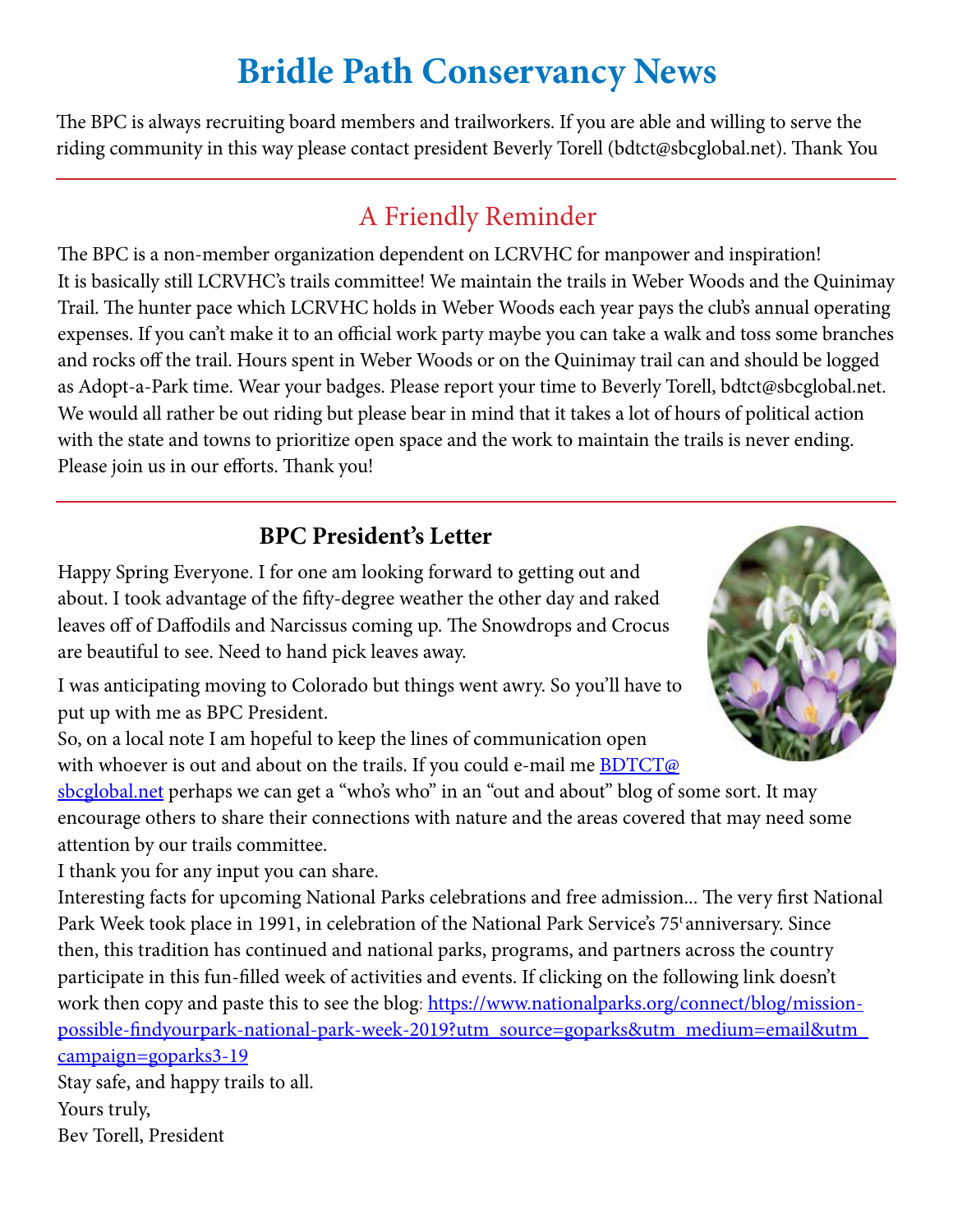# **Bridle Path Conservancy News**

The BPC is always recruiting board members and trailworkers. If you are able and willing to serve the riding community in this way please contact president Beverly Torell (bdtct@sbcglobal.net). Thank You

## A Friendly Reminder

The BPC is a non-member organization dependent on LCRVHC for manpower and inspiration! It is basically still LCRVHC's trails committee! We maintain the trails in Weber Woods and the Quinimay Trail. The hunter pace which LCRVHC holds in Weber Woods each year pays the club's annual operating expenses. If you can't make it to an official work party maybe you can take a walk and toss some branches and rocks off the trail. Hours spent in Weber Woods or on the Quinimay trail can and should be logged as Adopt-a-Park time. Wear your badges. Please report your time to Beverly Torell, bdtct@sbcglobal.net. We would all rather be out riding but please bear in mind that it takes a lot of hours of political action with the state and towns to prioritize open space and the work to maintain the trails is never ending. Please join us in our efforts. Thank you!

## **BPC President's Letter**

Happy Spring Everyone. I for one am looking forward to getting out and about. I took advantage of the fifty-degree weather the other day and raked leaves off of Daffodils and Narcissus coming up. The Snowdrops and Crocus are beautiful to see. Need to hand pick leaves away.

I was anticipating moving to Colorado but things went awry. So you'll have to put up with me as BPC President.

So, on a local note I am hopeful to keep the lines of communication open with whoever is out and about on the trails. If you could e-mail me  $BDTCT@$ 

sbcglobal.net perhaps we can get a "who's who" in an "out and about" blog of some sort. It may encourage others to share their connections with nature and the areas covered that may need some attention by our trails committee.

I thank you for any input you can share.

Interesting facts for upcoming National Parks celebrations and free admission... The very first National Park Week took place in 1991, in celebration of the National Park Service's 75<sup>t</sup> anniversary. Since then, this tradition has continued and national parks, programs, and partners across the country participate in this fun-filled week of activities and events. If clicking on the following link doesn't work then copy and paste this to see the blog: https://www.nationalparks.org/connect/blog/missionpossible-findyourpark-national-park-week-2019?utm\_source=goparks&utm\_medium=email&utm\_ campaign=goparks3-19

Stay safe, and happy trails to all. Yours truly, Bev Torell, President

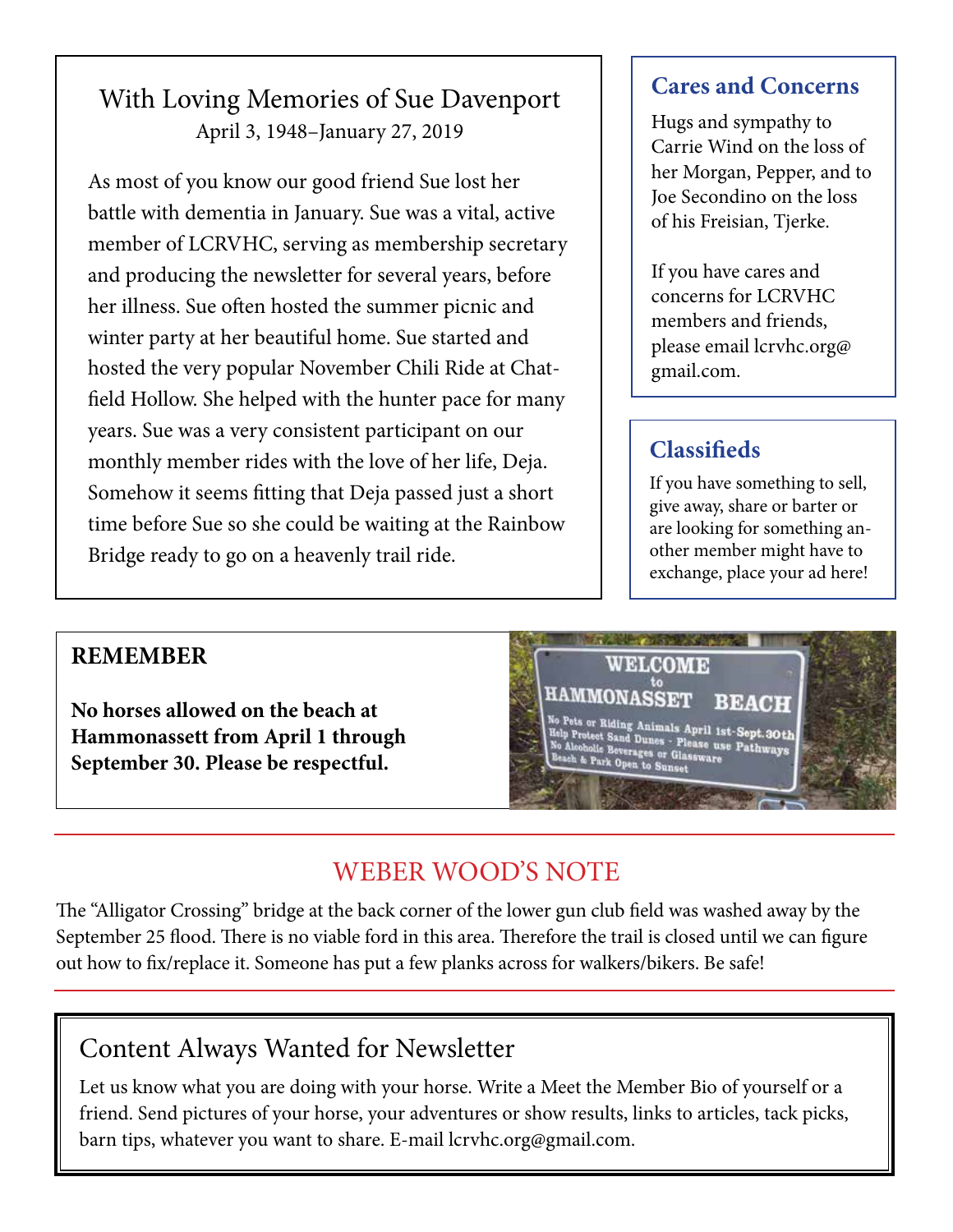## With Loving Memories of Sue Davenport April 3, 1948–January 27, 2019

As most of you know our good friend Sue lost her battle with dementia in January. Sue was a vital, active member of LCRVHC, serving as membership secretary and producing the newsletter for several years, before her illness. Sue often hosted the summer picnic and winter party at her beautiful home. Sue started and hosted the very popular November Chili Ride at Chatfield Hollow. She helped with the hunter pace for many years. Sue was a very consistent participant on our monthly member rides with the love of her life, Deja. Somehow it seems fitting that Deja passed just a short time before Sue so she could be waiting at the Rainbow Bridge ready to go on a heavenly trail ride.

## **Cares and Concerns**

Hugs and sympathy to Carrie Wind on the loss of her Morgan, Pepper, and to Joe Secondino on the loss of his Freisian, Tjerke.

If you have cares and concerns for LCRVHC members and friends, please email lcrvhc.org@ gmail.com.

## **Classifieds**

If you have something to sell, give away, share or barter or are looking for something another member might have to exchange, place your ad here!

## **REMEMBER**

**No horses allowed on the beach at Hammonassett from April 1 through September 30. Please be respectful.**

**WELCOME HAMMONASSET BEACH** No Pets or Riding Animals April 1st-Sept.30th<br>Help Protect Sand Dunes - Please use Pathways<br>No Alcoholie Beverages or Glassware<br>Beach & Park Open to Sunset

## WEBER WOOD'S NOTE

The "Alligator Crossing" bridge at the back corner of the lower gun club field was washed away by the September 25 flood. There is no viable ford in this area. Therefore the trail is closed until we can figure out how to fix/replace it. Someone has put a few planks across for walkers/bikers. Be safe!

## Content Always Wanted for Newsletter

Let us know what you are doing with your horse. Write a Meet the Member Bio of yourself or a friend. Send pictures of your horse, your adventures or show results, links to articles, tack picks, barn tips, whatever you want to share. E-mail lcrvhc.org@gmail.com.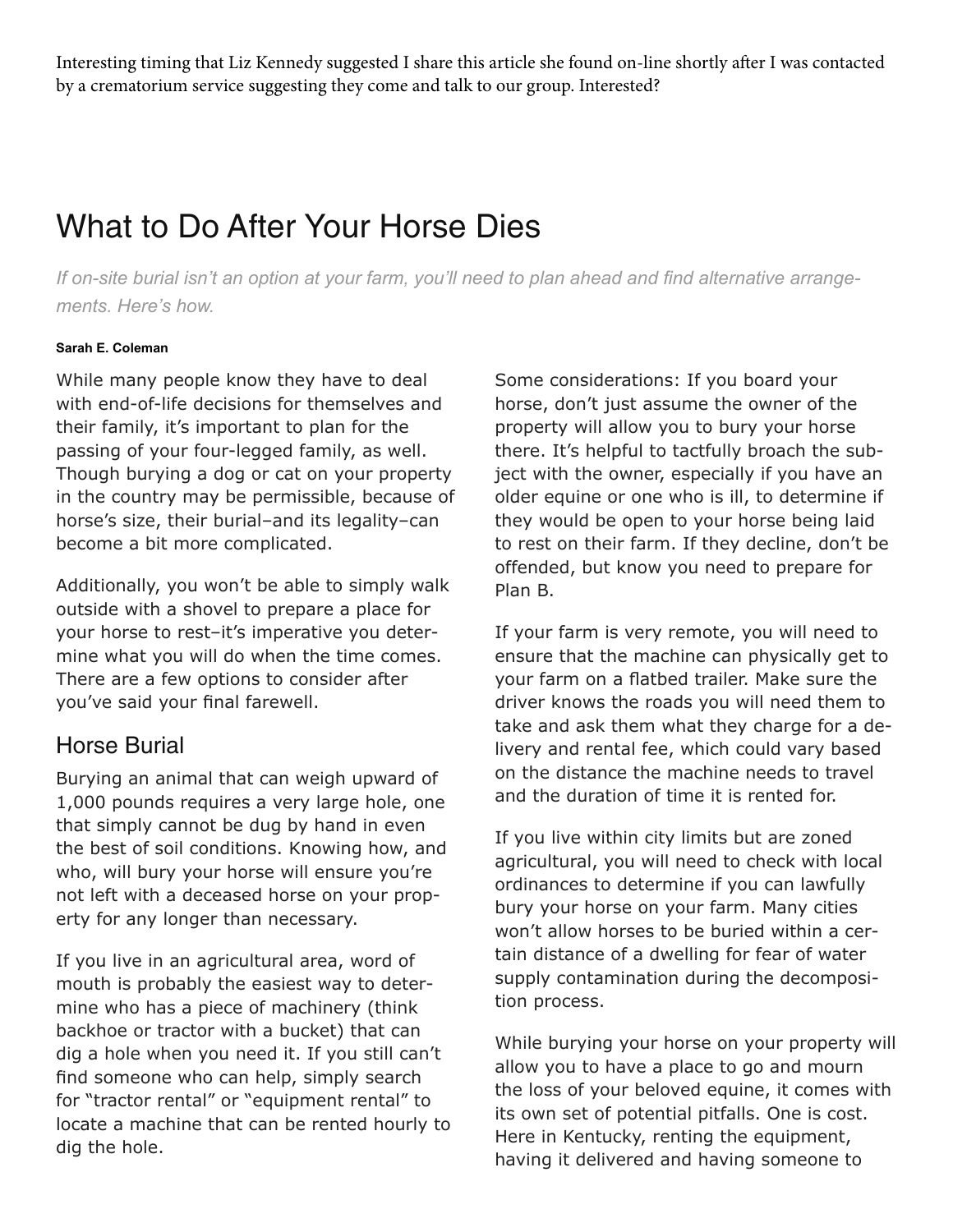Interesting timing that Liz Kennedy suggested I share this article she found on-line shortly after I was contacted by a crematorium service suggesting they come and talk to our group. Interested?

# What to Do After Your Horse Dies

*If on-site burial isn't an option at your farm, you'll need to plan ahead and find alternative arrangements. Here's how.*

#### **Sarah E. Coleman**

While many people know they have to deal with end-of-life decisions for themselves and their family, it's important to plan for the passing of your four-legged family, as well. Though burying a dog or cat on your property in the country may be permissible, because of horse's size, their burial–and its legality–can become a bit more complicated.

Additionally, you won't be able to simply walk outside with a shovel to prepare a place for your horse to rest–it's imperative you determine what you will do when the time comes. There are a few options to consider after you've said your final farewell.

### Horse Burial

Burying an animal that can weigh upward of 1,000 pounds requires a very large hole, one that simply cannot be dug by hand in even the best of soil conditions. Knowing how, and who, will bury your horse will ensure you're not left with a deceased horse on your property for any longer than necessary.

If you live in an agricultural area, word of mouth is probably the easiest way to determine who has a piece of machinery (think backhoe or tractor with a bucket) that can dig a hole when you need it. If you still can't find someone who can help, simply search for "tractor rental" or "equipment rental" to locate a machine that can be rented hourly to dig the hole.

Some considerations: If you board your horse, don't just assume the owner of the property will allow you to bury your horse there. It's helpful to tactfully broach the subject with the owner, especially if you have an older equine or one who is ill, to determine if they would be open to your horse being laid to rest on their farm. If they decline, don't be offended, but know you need to prepare for Plan B.

If your farm is very remote, you will need to ensure that the machine can physically get to your farm on a flatbed trailer. Make sure the driver knows the roads you will need them to take and ask them what they charge for a delivery and rental fee, which could vary based on the distance the machine needs to travel and the duration of time it is rented for.

If you live within city limits but are zoned agricultural, you will need to check with local ordinances to determine if you can lawfully bury your horse on your farm. Many cities won't allow horses to be buried within a certain distance of a dwelling for fear of water supply contamination during the decomposition process.

While burying your horse on your property will allow you to have a place to go and mourn the loss of your beloved equine, it comes with its own set of potential pitfalls. One is cost. Here in Kentucky, renting the equipment, having it delivered and having someone to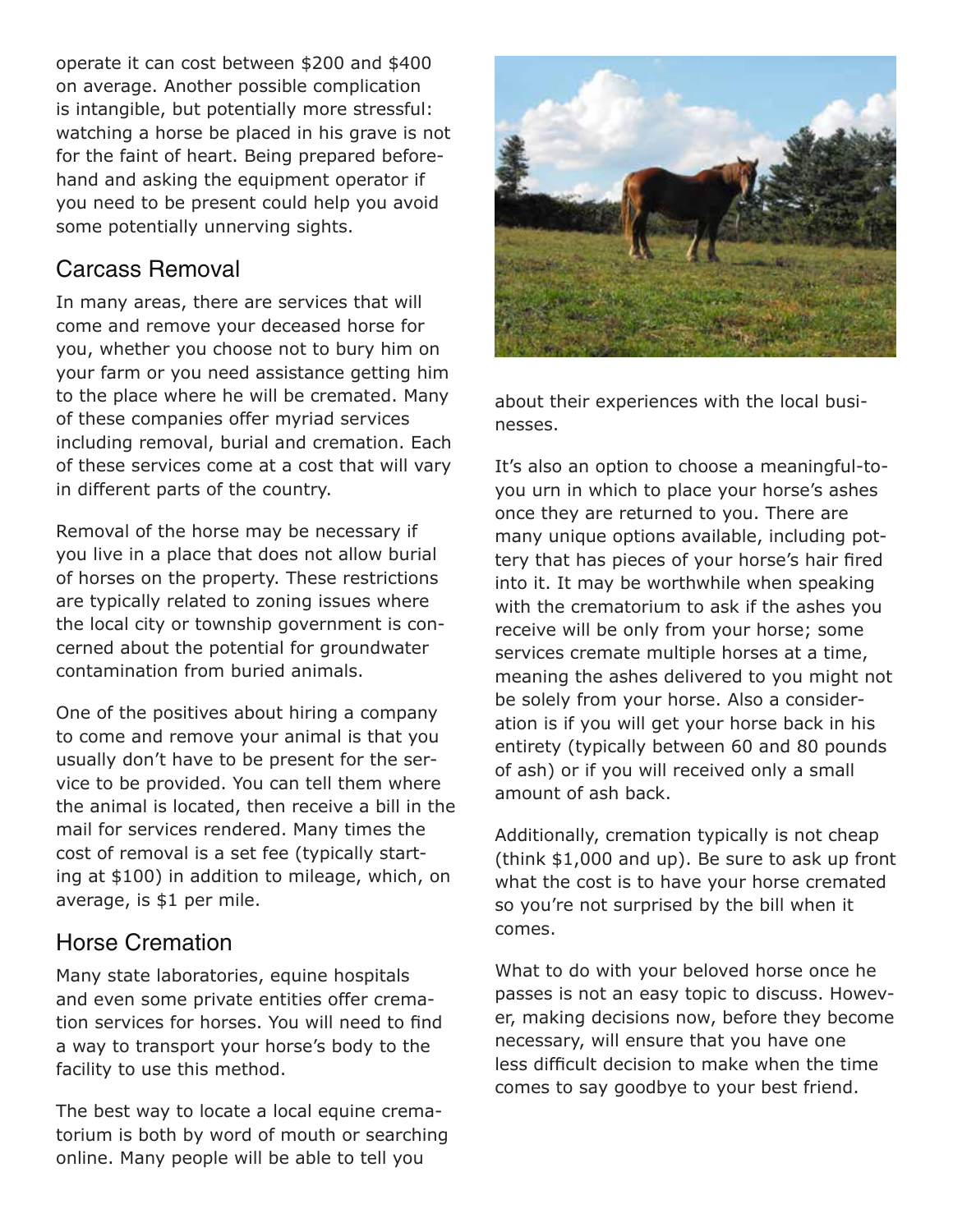operate it can cost between \$200 and \$400 on average. Another possible complication is intangible, but potentially more stressful: watching a horse be placed in his grave is not for the faint of heart. Being prepared beforehand and asking the equipment operator if you need to be present could help you avoid some potentially unnerving sights.

## Carcass Removal

In many areas, there are services that will come and remove your deceased horse for you, whether you choose not to bury him on your farm or you need assistance getting him to the place where he will be cremated. Many of these companies offer myriad services including removal, burial and cremation. Each of these services come at a cost that will vary in different parts of the country.

Removal of the horse may be necessary if you live in a place that does not allow burial of horses on the property. These restrictions are typically related to zoning issues where the local city or township government is concerned about the potential for groundwater contamination from buried animals.

One of the positives about hiring a company to come and remove your animal is that you usually don't have to be present for the service to be provided. You can tell them where the animal is located, then receive a bill in the mail for services rendered. Many times the cost of removal is a set fee (typically starting at \$100) in addition to mileage, which, on average, is \$1 per mile.

## Horse Cremation

Many state laboratories, equine hospitals and even some private entities offer cremation services for horses. You will need to find a way to transport your horse's body to the facility to use this method.

The best way to locate a local equine crematorium is both by word of mouth or searching online. Many people will be able to tell you



about their experiences with the local businesses.

It's also an option to choose a meaningful-toyou urn in which to place your horse's ashes once they are returned to you. There are many unique options available, including pottery that has pieces of your horse's hair fired into it. It may be worthwhile when speaking with the crematorium to ask if the ashes you receive will be only from your horse; some services cremate multiple horses at a time, meaning the ashes delivered to you might not be solely from your horse. Also a consideration is if you will get your horse back in his entirety (typically between 60 and 80 pounds of ash) or if you will received only a small amount of ash back.

Additionally, cremation typically is not cheap (think \$1,000 and up). Be sure to ask up front what the cost is to have your horse cremated so you're not surprised by the bill when it comes.

What to do with your beloved horse once he passes is not an easy topic to discuss. However, making decisions now, before they become necessary, will ensure that you have one less difficult decision to make when the time comes to say goodbye to your best friend.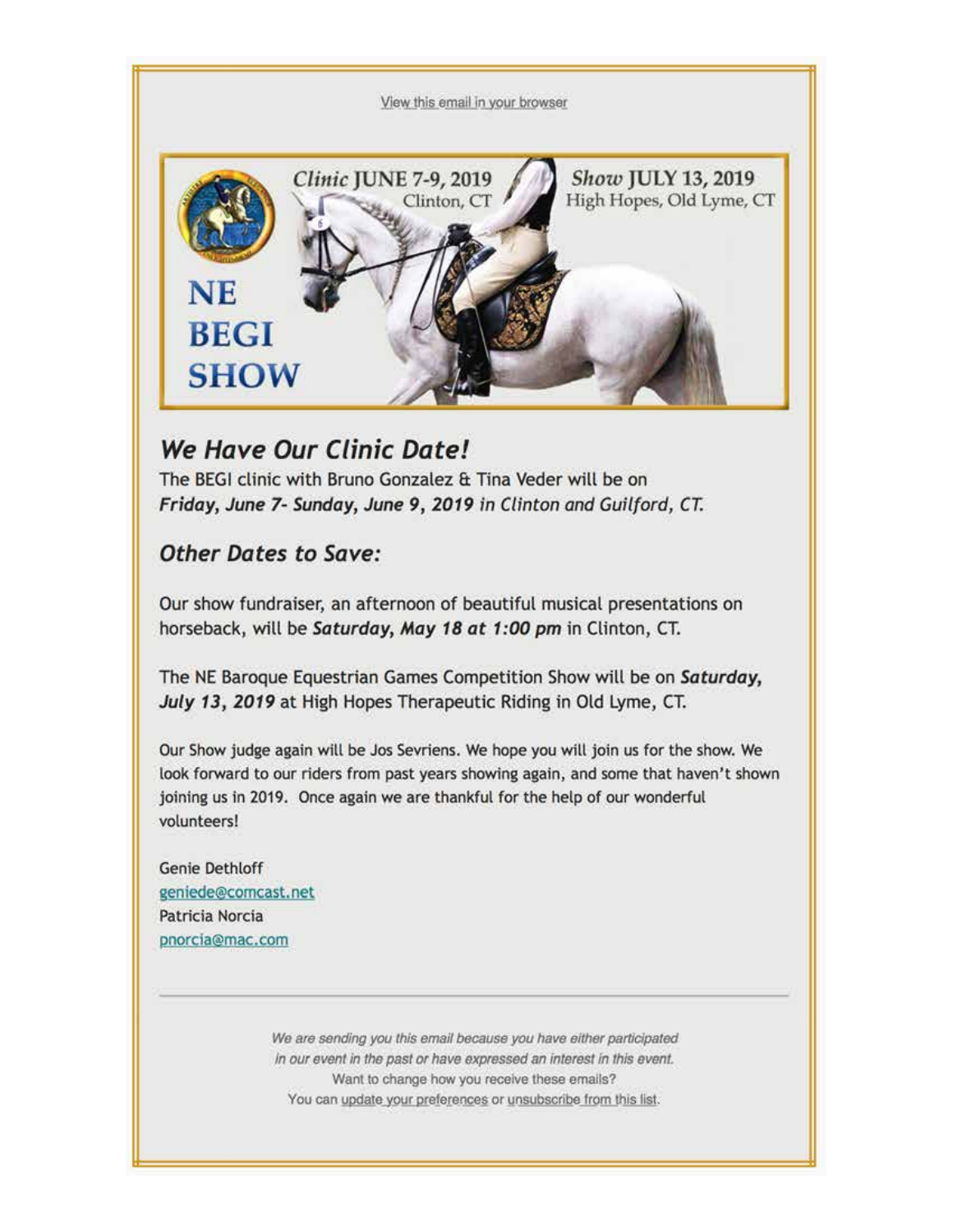View this email in your browser



## We Have Our Clinic Date!

The BEGI clinic with Bruno Gonzalez & Tina Veder will be on Friday, June 7- Sunday, June 9, 2019 in Clinton and Guilford, CT.

### **Other Dates to Save:**

Our show fundraiser, an afternoon of beautiful musical presentations on horseback, will be Saturday, May 18 at 1:00 pm in Clinton, CT.

The NE Baroque Equestrian Games Competition Show will be on Saturday, July 13, 2019 at High Hopes Therapeutic Riding in Old Lyme, CT.

Our Show judge again will be Jos Sevriens. We hope you will join us for the show. We look forward to our riders from past years showing again, and some that haven't shown joining us in 2019. Once again we are thankful for the help of our wonderful volunteers!

Genie Dethloff geniede@comcast.net Patricia Norcia pnorcia@mac.com

> We are sending you this email because you have either participated in our event in the past or have expressed an interest in this event. Want to change how you receive these emails? You can update your preferences or unsubscribe from this list.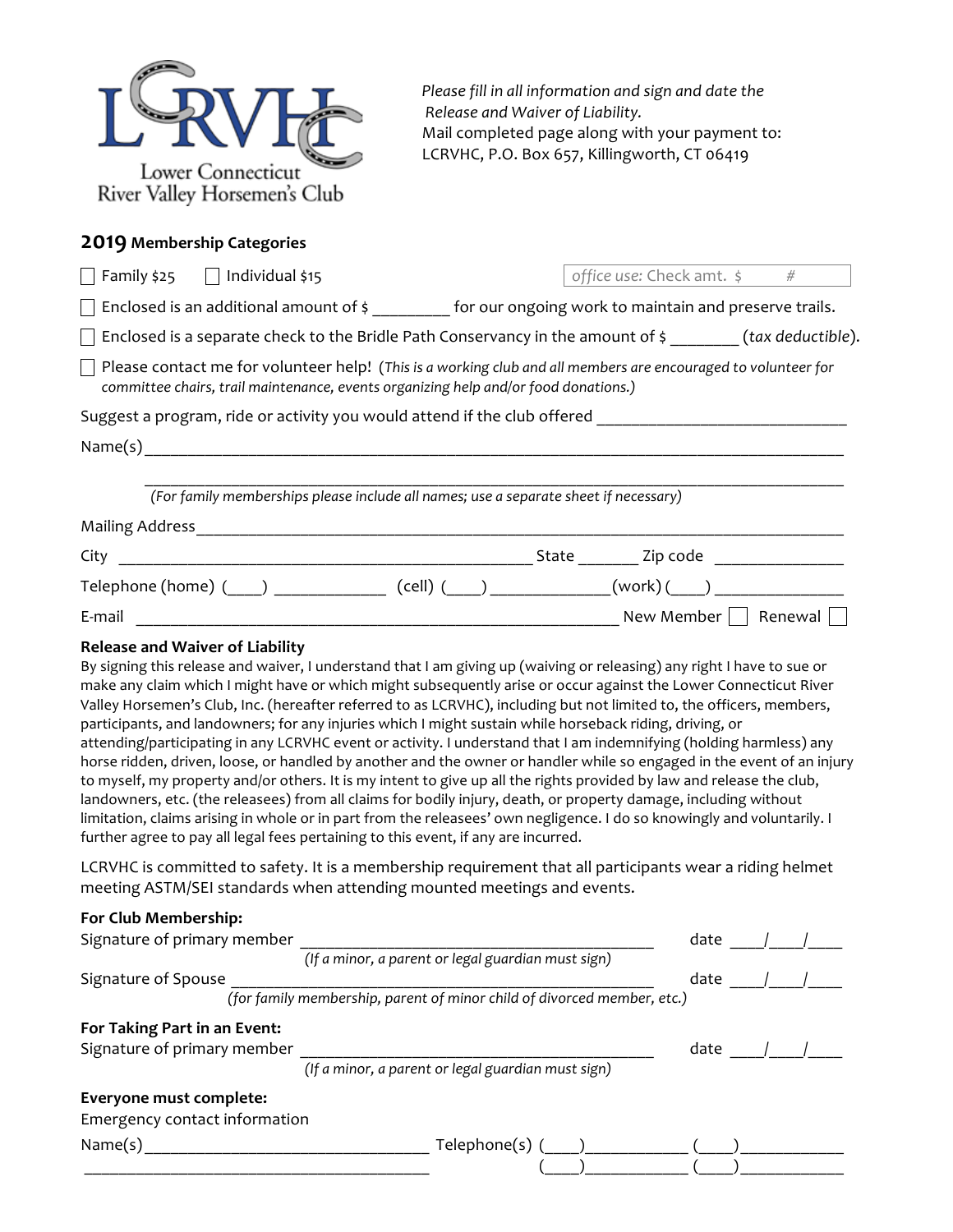| Lower Connecticut<br>River Valley Horsemen's Club |
|---------------------------------------------------|

Please fill in all information and sign and date the *Release and Waiver of Liability.* Mail completed page along with your payment to: LCRVHC, P.O. Box 657, Killingworth, CT 06419

#### **2019 Membership Categories**

| $\Box$ Family \$25 $\Box$ Individual \$15                                                           | office use: Check amt. $\frac{1}{2}$ #                                                                               |
|-----------------------------------------------------------------------------------------------------|----------------------------------------------------------------------------------------------------------------------|
|                                                                                                     | $\Box$ Enclosed is an additional amount of $\frac{2}{3}$ for our ongoing work to maintain and preserve trails.       |
|                                                                                                     | $\Box$ Enclosed is a separate check to the Bridle Path Conservancy in the amount of \$ _______(tax deductible).      |
| committee chairs, trail maintenance, events organizing help and/or food donations.)                 | $\Box$ Please contact me for volunteer help! (This is a working club and all members are encouraged to volunteer for |
| Suggest a program, ride or activity you would attend if the club offered __________________________ |                                                                                                                      |
|                                                                                                     |                                                                                                                      |
| (For family memberships please include all names; use a separate sheet if necessary)                |                                                                                                                      |
|                                                                                                     |                                                                                                                      |
|                                                                                                     |                                                                                                                      |
|                                                                                                     |                                                                                                                      |
|                                                                                                     |                                                                                                                      |
| <b>Release and Waiver of Liability</b>                                                              | By signing this release and waiver. Lunderstand that Lam giving up (waiving or releasing) any right Lhave to sue or  |

By signing this release and waiver, I understand that I am giving up (waiving or releasing) any right I have to sue or make any claim which I might have or which might subsequently arise or occur against the Lower Connecticut River Valley Horsemen's Club, Inc. (hereafter referred to as LCRVHC), including but not limited to, the officers, members, participants, and landowners; for any injuries which I might sustain while horseback riding, driving, or attending/participating in any LCRVHC event or activity. I understand that I am indemnifying (holding harmless) any horse ridden, driven, loose, or handled by another and the owner or handler while so engaged in the event of an injury to myself, my property and/or others. It is my intent to give up all the rights provided by law and release the club, landowners, etc. (the releasees) from all claims for bodily injury, death, or property damage, including without limitation, claims arising in whole or in part from the releasees' own negligence. I do so knowingly and voluntarily. I further agree to pay all legal fees pertaining to this event, if any are incurred.

LCRVHC is committed to safety. It is a membership requirement that all participants wear a riding helmet meeting ASTM/SEI standards when attending mounted meetings and events.

## **For Club Membership:** Signature of primary member \_\_\_\_\_\_\_\_\_\_\_\_\_\_\_\_\_\_\_\_\_\_\_\_\_\_\_\_\_\_\_\_\_\_\_\_\_\_\_\_\_ date \_\_\_\_/\_\_\_\_/\_\_\_\_

|                               | (If a minor, a parent or legal guardian must sign)                      |      |  |
|-------------------------------|-------------------------------------------------------------------------|------|--|
| Signature of Spouse           |                                                                         | date |  |
|                               | (for family membership, parent of minor child of divorced member, etc.) |      |  |
| For Taking Part in an Event:  |                                                                         |      |  |
| Signature of primary member   |                                                                         | date |  |
|                               | (If a minor, a parent or legal guardian must sign)                      |      |  |
| Everyone must complete:       |                                                                         |      |  |
| Emergency contact information |                                                                         |      |  |
| Name $(s)$                    | $Telephone(s)$ ( )                                                      |      |  |
|                               |                                                                         |      |  |
|                               |                                                                         |      |  |